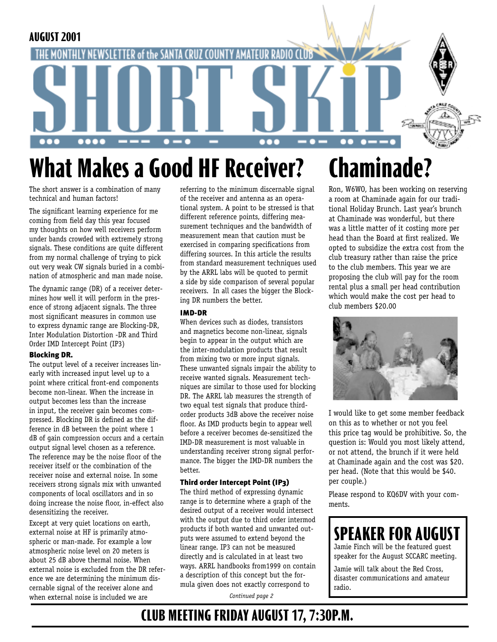

# **What Makes a Good HF Receiver?**

The short answer is a combination of many technical and human factors!

The significant learning experience for me coming from field day this year focused my thoughts on how well receivers perform under bands crowded with extremely strong signals. These conditions are quite different from my normal challenge of trying to pick out very weak CW signals buried in a combination of atmospheric and man made noise.

The dynamic range (DR) of a receiver determines how well it will perform in the presence of strong adjacent signals. The three most significant measures in common use to express dynamic range are Blocking-DR, Inter Modulation Distortion -DR and Third Order IMD Intercept Point (IP3)

#### Blocking DR.

The output level of a receiver increases linearly with increased input level up to a point where critical front-end components become non-linear. When the increase in output becomes less than the increase in input, the receiver gain becomes compressed. Blocking DR is defined as the difference in dB between the point where 1 dB of gain compression occurs and a certain output signal level chosen as a reference. The reference may be the noise floor of the receiver itself or the combination of the receiver noise and external noise. In some receivers strong signals mix with unwanted components of local oscillators and in so doing increase the noise floor, in-effect also desensitizing the receiver.

Except at very quiet locations on earth, external noise at HF is primarily atmospheric or man-made. For example a low atmospheric noise level on 20 meters is about 25 dB above thermal noise. When external noise is excluded from the DR reference we are determining the minimum discernable signal of the receiver alone and when external noise is included we are

referring to the minimum discernable signal of the receiver and antenna as an operational system. A point to be stressed is that different reference points, differing measurement techniques and the bandwidth of measurement mean that caution must be exercised in comparing specifications from differing sources. In this article the results from standard measurement techniques used by the ARRL labs will be quoted to permit a side by side comparison of several popular receivers. In all cases the bigger the Blocking DR numbers the better.

#### IMD-DR

When devices such as diodes, transistors and magnetics become non-linear, signals begin to appear in the output which are the inter-modulation products that result from mixing two or more input signals. These unwanted signals impair the ability to receive wanted signals. Measurement techniques are similar to those used for blocking DR. The ARRL lab measures the strength of two equal test signals that produce thirdorder products 3dB above the receiver noise floor. As IMD products begin to appear well before a receiver becomes de-sensitized the IMD-DR measurement is most valuable in understanding receiver strong signal performance. The bigger the IMD-DR numbers the better.

#### Third order Intercept Point (IP3)

The third method of expressing dynamic range is to determine where a graph of the desired output of a receiver would intersect with the output due to third order intermod products if both wanted and unwanted outputs were assumed to extend beyond the linear range. IP3 can not be measured directly and is calculated in at least two ways. ARRL handbooks from1999 on contain a description of this concept but the formula given does not exactly correspond to

*Continued page 2*

## **Chaminade?**

Ron, W6WO, has been working on reserving a room at Chaminade again for our traditional Holiday Brunch. Last year's brunch at Chaminade was wonderful, but there was a little matter of it costing more per head than the Board at first realized. We opted to subsidize the extra cost from the club treasury rather than raise the price to the club members. This year we are proposing the club will pay for the room rental plus a small per head contribution which would make the cost per head to club members \$20.00



I would like to get some member feedback on this as to whether or not you feel this price tag would be prohibitive. So, the question is: Would you most likely attend, or not attend, the brunch if it were held at Chaminade again and the cost was \$20. per head. (Note that this would be \$40. per couple.)

Please respond to KQ6DV with your comments.

### **SPEAKER FOR AUGUST**

Jamie Finch will be the featured guest speaker for the August SCCARC meeting.

Jamie will talk about the Red Cross, disaster communications and amateur radio.

### **CLUB MEETING FRIDAY AUGUST 17, 7:30P.M.**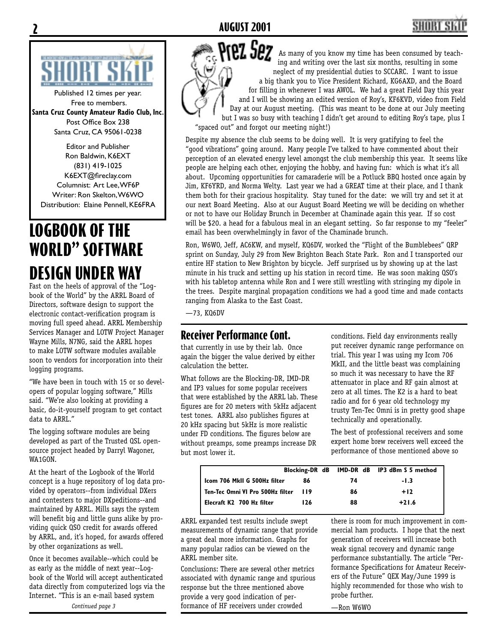

Published 12 times per year. Free to members. **Santa Cruz County Amateur Radio Club, Inc.** Post Office Box 238 Santa Cruz, CA 95061-0238

Editor and Publisher Ron Baldwin, K6EXT (831) 419-1025 K6EXT@fireclay.com Columnist: Art Lee, WF6P Writer: Ron Skelton, W6WO Distribution: Elaine Pennell, KE6FRA

### **LOGBOOK OF THE WORLD" SOFTWARE DESIGN UNDER WAY**

Fast on the heels of approval of the "Logbook of the World" by the ARRL Board of Directors, software design to support the electronic contact-verification program is moving full speed ahead. ARRL Membership Services Manager and LOTW Project Manager Wayne Mills, N7NG, said the ARRL hopes to make LOTW software modules available soon to vendors for incorporation into their logging programs.

"We have been in touch with 15 or so developers of popular logging software," Mills said. "We're also looking at providing a basic, do-it-yourself program to get contact data to ARRL."

The logging software modules are being developed as part of the Trusted QSL opensource project headed by Darryl Wagoner, WA1GON.

At the heart of the Logbook of the World concept is a huge repository of log data provided by operators--from individual DXers and contesters to major DXpeditions--and maintained by ARRL. Mills says the system will benefit big and little guns alike by providing quick QSO credit for awards offered by ARRL, and, it's hoped, for awards offered by other organizations as well.

Once it becomes available--which could be as early as the middle of next year--Logbook of the World will accept authenticated data directly from computerized logs via the Internet. "This is an e-mail based system

Prez Sez As many of you know my time has been consumed by teaching and writing over the last six months, resulting in some neglect of my presidential duties to SCCARC. I want to issue a big thank you to Vice President Richard, KG6AXD, and the Board for filling in whenever I was AWOL. We had a great Field Day this year and I will be showing an edited version of Roy's, KF6KVD, video from Field Day at our August meeting. (This was meant to be done at our July meeting but I was so busy with teaching I didn't get around to editing Roy's tape, plus I "spaced out" and forgot our meeting night!)

Despite my absence the club seems to be doing well. It is very gratifying to feel the "good vibrations" going around. Many people I've talked to have commented about their perception of an elevated energy level amongst the club membership this year. It seems like people are helping each other, enjoying the hobby, and having fun: which is what it's all about. Upcoming opportunities for camaraderie will be a Potluck BBQ hosted once again by Jim, KF6YRD, and Norma Welty. Last year we had a GREAT time at their place, and I thank them both for their gracious hospitality. Stay tuned for the date: we will try and set it at our next Board Meeting. Also at our August Board Meeting we will be deciding on whether or not to have our Holiday Brunch in December at Chaminade again this year. If so cost will be \$20. a head for a fabulous meal in an elegant setting. So far response to my "feeler" email has been overwhelmingly in favor of the Chaminade brunch.

Ron, W6WO, Jeff, AC6KW, and myself, KQ6DV, worked the "Flight of the Bumblebees" QRP sprint on Sunday, July 29 from New Brighton Beach State Park. Ron and I transported our entire HF station to New Brighton by bicycle. Jeff surprised us by showing up at the last minute in his truck and setting up his station in record time. He was soon making QSO's with his tabletop antenna while Ron and I were still wrestling with stringing my dipole in the trees. Despite marginal propagation conditions we had a good time and made contacts ranging from Alaska to the East Coast.

—73, KQ6DV

#### **Receiver Performance Cont.**

that currently in use by their lab. Once again the bigger the value derived by either calculation the better.

What follows are the Blocking-DR, IMD-DR and IP3 values for some popular receivers that were established by the ARRL lab. These figures are for 20 meters with 5kHz adjacent test tones. ARRL also publishes figures at 20 kHz spacing but 5kHz is more realistic under FD conditions. The figures below are without preamps, some preamps increase DR but most lower it.

conditions. Field day environments really put receiver dynamic range performance on trial. This year I was using my Icom 706 MkII, and the little beast was complaining so much it was necessary to have the RF attenuator in place and RF gain almost at zero at all times. The K2 is a hard to beat radio and for 6 year old technology my trusty Ten-Tec Omni is in pretty good shape technically and operationally.

The best of professional receivers and some expert home brew receivers well exceed the performance of those mentioned above so

|                                  |       |    | Blocking-DR dB IMD-DR dB IP3 dBm S 5 method |
|----------------------------------|-------|----|---------------------------------------------|
| Icom 706 MkII G 500Hz filter     | 86    | 74 | -1.3                                        |
| Ten-Tec Omni VI Pro 500Hz filter | - 119 | 86 | $+12$                                       |
| Elecraft K2 700 Hz filter        | 126   | 88 | $+21.6$                                     |

ARRL expanded test results include swept measurements of dynamic range that provide a great deal more information. Graphs for many popular radios can be viewed on the ARRL member site.

Conclusions: There are several other metrics associated with dynamic range and spurious response but the three mentioned above provide a very good indication of performance of HF receivers under crowded

there is room for much improvement in commercial ham products. I hope that the next generation of receivers will increase both weak signal recovery and dynamic range performance substantially. The article "Performance Specifications for Amateur Receivers of the Future" QEX May/June 1999 is highly recommended for those who wish to probe further.

—Ron W6WO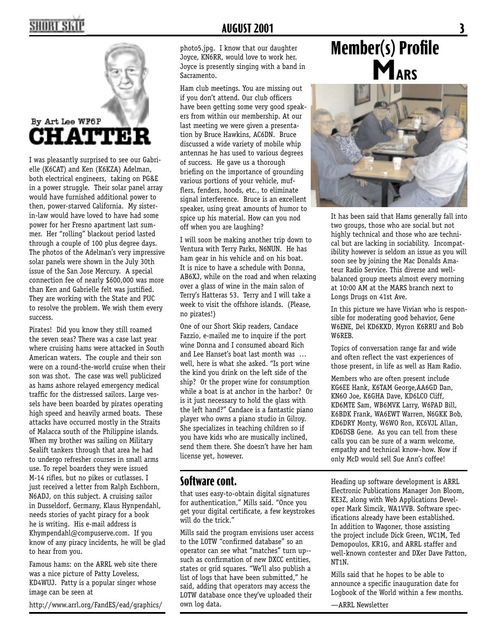

I was pleasantly surprised to see our Gabrielle (K6CAT) and Ken (K6KZA) Adelman, both electrical engineers, taking on PG&E in a power struggle. Their solar panel array would have furnished additional power to then, power-starved California. My sisterin-law would have loved to have had some power for her Fresno apartment last summer. Her "rolling" blackout period lasted through a couple of 100 plus degree days. The photos of the Adelman's very impressive solar panels were shown in the July 30th issue of the San Jose Mercury. A special connection fee of nearly \$600,000 was more than Ken and Gabrielle felt was justified. They are working with the State and PUC to resolve the problem. We wish them every success.

Pirates! Did you know they still roamed the seven seas? There was a case last year where cruising hams were attacked in South American waters. The couple and their son were on a round-the-world cruise when their son was shot. The case was well publicized as hams ashore relayed emergency medical traffic for the distressed sailors. Large vessels have been boarded by pirates operating high speed and heavily armed boats. These attacks have occurred mostly in the Straits of Malacca south of the Philippine islands. When my brother was sailing on Military Sealift tankers through that area he had to undergo refresher courses in small arms use. To repel boarders they were issued M-14 rifles, but no pikes or cutlasses. I just received a letter from Ralph Eschborn, N6ADJ, on this subject. A cruising sailor in Dusseldorf, Germany, Klaus Hynpendahl, needs stories of yacht piracy for a book he is writing. His e-mail address is Khympendahl@compuserve.com. If you know of any piracy incidents, he will be glad to hear from you.

Famous hams: on the ARRL web site there was a nice picture of Patty Loveless, KD4WUJ. Patty is a popular singer whose image can be seen at

http://www.arrl.org/FandES/ead/graphics/

photo5.jpg. I know that our daughter Joyce, KN6RR, would love to work her. Joyce is presently singing with a band in Sacramento.

Ham club meetings. You are missing out if you don't attend. Our club officers have been getting some very good speakers from within our membership. At our last meeting we were given a presentation by Bruce Hawkins, AC6DN. Bruce discussed a wide variety of mobile whip antennas he has used to various degrees of success. He gave us a thorough briefing on the importance of grounding various portions of your vehicle, mufflers, fenders, hoods, etc., to eliminate signal interference. Bruce is an excellent speaker, using great amounts of humor to spice up his material. How can you nod off when you are laughing?

I will soon be making another trip down to Ventura with Terry Parks, N6NUN. He has ham gear in his vehicle and on his boat. It is nice to have a schedule with Donna, AB6XJ, while on the road and when relaxing over a glass of wine in the main salon of Terry's Hatteras 53. Terry and I will take a week to visit the offshore islands. (Please, no pirates!)

One of our Short Skip readers, Candace Fazzio, e-mailed me to inquire if the port wine Donna and I consumed aboard Rich and Lee Hanset's boat last month was … well, here is what she asked. "Is port wine the kind you drink on the left side of the ship? Or the proper wine for consumption while a boat is at anchor in the harbor? Or is it just necessary to hold the glass with the left hand?" Candace is a fantastic piano player who owns a piano studio in Gilroy. She specializes in teaching children so if you have kids who are musically inclined, send them there. She doesn't have her ham license yet, however.

#### **Software cont.**

that uses easy-to-obtain digital signatures for authentication," Mills said. "Once you get your digital certificate, a few keystrokes will do the trick."

Mills said the program envisions user access to the LOTW "confirmed database" so an operator can see what "matches" turn up- such as confirmation of new DXCC entities, states or grid squares. "We'll also publish a list of logs that have been submitted," he said, adding that operators may access the LOTW database once they've uploaded their own log data.

## **Member(s) Profile MARS**



It has been said that Hams generally fall into two groups, those who are social but not highly technical and those who are technical but are lacking in sociability. Incompatibility however is seldom an issue as you will soon see by joining the Mac Donalds Amateur Radio Service. This diverse and wellbalanced group meets almost every morning at 10:00 AM at the MARS branch next to Longs Drugs on 41st Ave.

In this picture we have Vivian who is responsible for moderating good behavior, Gene W6ENE, Del KD6KXD, Myron K6RRU and Bob W6REB.

Topics of conversation range far and wide and often reflect the vast experiences of those present, in life as well as Ham Radio.

Members who are often present include KG6EE Hank, K6TAM George,AA6GD Dan, KN6O Joe, K6GHA Dave, KD6LCO Cliff, KD6MTE Sam, WB6MVK Larry, W6PAD Bill, K6BDK Frank, WA6EWT Warren, N6GKK Bob, KD6DRY Monty, W6WO Ron, KC6VJL Allan, KD6DSB Gene. As you can tell from these calls you can be sure of a warm welcome, empathy and technical know–how. Now if only McD would sell Sue Ann's coffee!

Heading up software development is ARRL Electronic Publications Manager Jon Bloom, KE3Z, along with Web Applications Developer Mark Simcik, WA1VVB. Software specifications already have been established. In addition to Wagoner, those assisting the project include Dick Green, WC1M, Ted Demopoulos, KR1G, and ARRL staffer and well-known contester and DXer Dave Patton, NT1N.

Mills said that he hopes to be able to announce a specific inauguration date for Logbook of the World within a few months.

—ARRL Newsletter